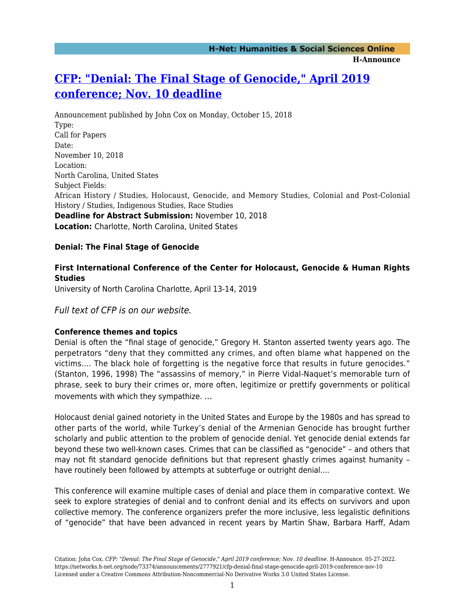# **[CFP: "Denial: The Final Stage of Genocide," April 2019](https://networks.h-net.org/node/73374/announcements/2777921/cfp-denial-final-stage-genocide-april-2019-conference-nov-10) [conference; Nov. 10 deadline](https://networks.h-net.org/node/73374/announcements/2777921/cfp-denial-final-stage-genocide-april-2019-conference-nov-10)**

Announcement published by John Cox on Monday, October 15, 2018 Type: Call for Papers Date: November 10, 2018 Location: North Carolina, United States Subject Fields: African History / Studies, Holocaust, Genocide, and Memory Studies, Colonial and Post-Colonial History / Studies, Indigenous Studies, Race Studies **Deadline for Abstract Submission:** November 10, 2018 **Location:** Charlotte, North Carolina, United States

### **Denial: The Final Stage of Genocide**

### **First International Conference of the Center for Holocaust, Genocide & Human Rights Studies**

University of North Carolina Charlotte, April 13-14, 2019

### Full text of CFP is on our website.

### **Conference themes and topics**

Denial is often the "final stage of genocide," Gregory H. Stanton asserted twenty years ago. The perpetrators "deny that they committed any crimes, and often blame what happened on the victims…. The black hole of forgetting is the negative force that results in future genocides." (Stanton, 1996, 1998) The "assassins of memory," in Pierre Vidal-Naquet's memorable turn of phrase, seek to bury their crimes or, more often, legitimize or prettify governments or political movements with which they sympathize. ...

Holocaust denial gained notoriety in the United States and Europe by the 1980s and has spread to other parts of the world, while Turkey's denial of the Armenian Genocide has brought further scholarly and public attention to the problem of genocide denial. Yet genocide denial extends far beyond these two well-known cases. Crimes that can be classified as "genocide" – and others that may not fit standard genocide definitions but that represent ghastly crimes against humanity – have routinely been followed by attempts at subterfuge or outright denial....

This conference will examine multiple cases of denial and place them in comparative context. We seek to explore strategies of denial and to confront denial and its effects on survivors and upon collective memory. The conference organizers prefer the more inclusive, less legalistic definitions of "genocide" that have been advanced in recent years by Martin Shaw, Barbara Harff, Adam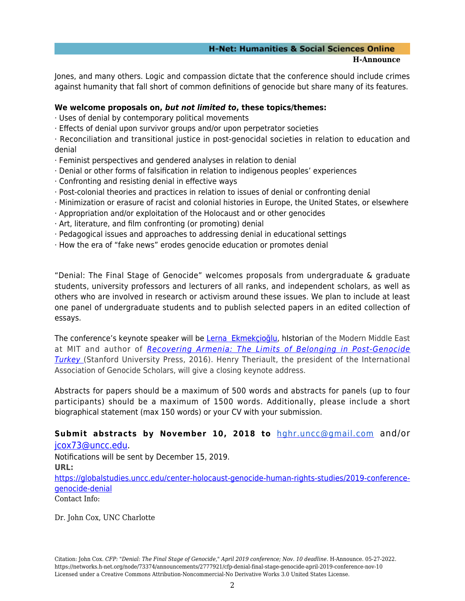## **H-Net: Humanities & Social Sciences Online**

#### **H-Announce**

Jones, and many others. Logic and compassion dictate that the conference should include crimes against humanity that fall short of common definitions of genocide but share many of its features.

### **We welcome proposals on,** *but not limited to***, these topics/themes:**

- · Uses of denial by contemporary political movements
- · Effects of denial upon survivor groups and/or upon perpetrator societies
- · Reconciliation and transitional justice in post-genocidal societies in relation to education and denial
- · Feminist perspectives and gendered analyses in relation to denial
- · Denial or other forms of falsification in relation to indigenous peoples' experiences
- · Confronting and resisting denial in effective ways
- · Post-colonial theories and practices in relation to issues of denial or confronting denial
- · Minimization or erasure of racist and colonial histories in Europe, the United States, or elsewhere
- · Appropriation and/or exploitation of the Holocaust and or other genocides
- · Art, literature, and film confronting (or promoting) denial
- · Pedagogical issues and approaches to addressing denial in educational settings
- · How the era of "fake news" erodes genocide education or promotes denial

"Denial: The Final Stage of Genocide" welcomes proposals from undergraduate & graduate students, university professors and lecturers of all ranks, and independent scholars, as well as others who are involved in research or activism around these issues. We plan to include at least one panel of undergraduate students and to publish selected papers in an edited collection of essays.

The conference's keynote speaker will be Lerna Ekmekcioğlu, hIstorian of the Modern Middle East at MIT and author of [Recovering Armenia: The Limits of Belonging in Post-Genocide](https://www.amazon.com/Recovering-Armenia-Limits-Belonging-Post-Genocide/dp/0804797064?ie=UTF8&keywords=lerna%20ekmekcioglu&qid=1435240856&ref_=sr_1_1&sr=8-1) **[Turkey](https://www.amazon.com/Recovering-Armenia-Limits-Belonging-Post-Genocide/dp/0804797064?ie=UTF8&keywords=lerna%20ekmekcioglu&qid=1435240856&ref_=sr_1_1&sr=8-1) (Stanford University Press, 2016). Henry Theriault, the president of the International** Association of Genocide Scholars, will give a closing keynote address.

Abstracts for papers should be a maximum of 500 words and abstracts for panels (up to four participants) should be a maximum of 1500 words. Additionally, please include a short biographical statement (max 150 words) or your CV with your submission.

### **Submit abstracts by November 10, 2018 to** [hghr.uncc@gmail.com](mailto:hghr.uncc@gmail.com) and/or [jcox73@uncc.edu.](mailto:jcox73@uncc.edu)

Notifications will be sent by December 15, 2019. **URL:** [https://globalstudies.uncc.edu/center-holocaust-genocide-human-rights-studies/2019-conference](https://globalstudies.uncc.edu/center-holocaust-genocide-human-rights-studies/2019-conference-genocide-denial)[genocide-denial](https://globalstudies.uncc.edu/center-holocaust-genocide-human-rights-studies/2019-conference-genocide-denial) Contact Info:

Dr. John Cox, UNC Charlotte